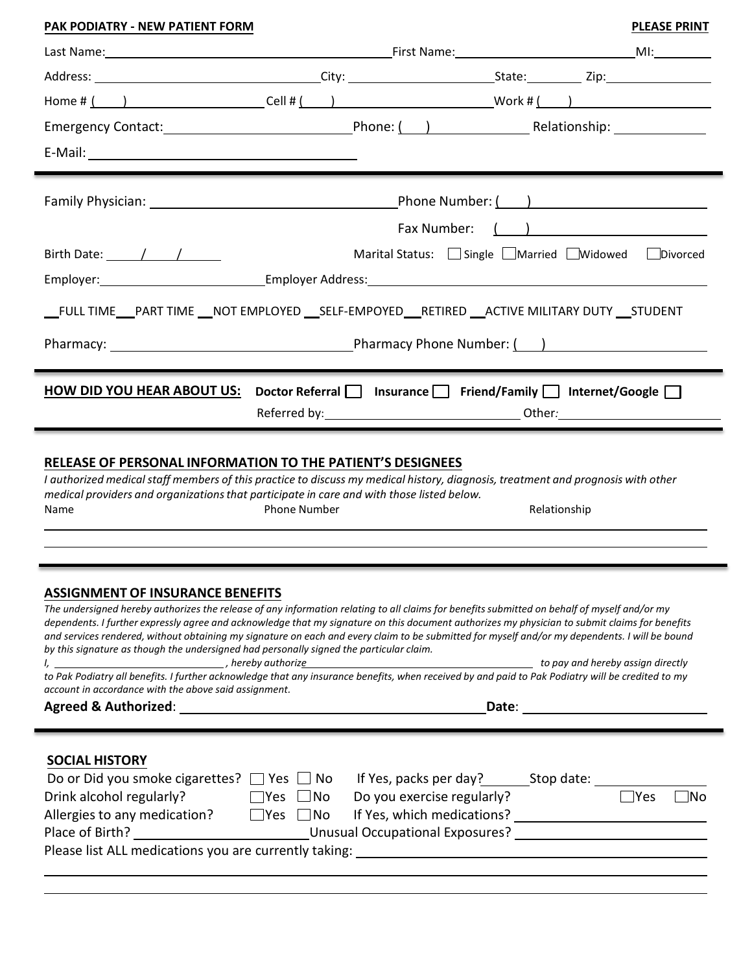# **PLEASE PRINT** First Name: MI: Last Name: **PAK PODIATRY - NEW PATIENT FORM**  Address: City: City: State: Zip: State: Zip: Home # ( ) Cell # ( ) Work # ( ) Emergency Contact: Phone: ( ) Relationship: E-Mail: Family Physician: Phone Number: ( ) Fax Number: ( ) Birth Date:  $\begin{array}{ccc} \begin{array}{ccc} \end{array} & / & \end{array}$   $\begin{array}{ccc} \end{array}$  Marital Status:  $\begin{array}{ccc} \end{array}$  Single  $\begin{array}{ccc} \end{array}$  Married  $\begin{array}{ccc} \end{array}$  Divorced Employer: Employer Address: \_FULL TIME\_\_PART TIME \_\_ NOT EMPLOYED \_\_ SELF-EMPOYED\_\_RETIRED \_\_ ACTIVE MILITARY DUTY \_\_ STUDENT Pharmacy: <u>New York: Pharmacy Phone Number: ( )</u> **HOW DID YOU HEAR ABOUT US:** Doctor Referral □ Insurance □ Friend/Family □ Internet/Google □ Referred by: Other*:*

### **RELEASE OF PERSONAL INFORMATION TO THE PATIENT'S DESIGNEES**

*I authorized medical staff members of this practice to discuss my medical history, diagnosis, treatment and prognosis with other medical providers and organizations that participate in care and with those listed below.* Name **Relationship** Phone Number **Relationship** Relationship

#### **ASSIGNMENT OF INSURANCE BENEFITS**

| The undersigned hereby authorizes the release of any information relating to all claims for benefits submitted on behalf of myself and/or my<br>dependents. I further expressly agree and acknowledge that my signature on this document authorizes my physician to submit claims for benefits<br>and services rendered, without obtaining my signature on each and every claim to be submitted for myself and/or my dependents. I will be bound<br>by this signature as though the undersigned had personally signed the particular claim.<br>l, 1. and the pay and hereby authorize the pay and hereby assign directly<br>to Pak Podiatry all benefits. I further acknowledge that any insurance benefits, when received by and paid to Pak Podiatry will be credited to my<br>account in accordance with the above said assignment. |                       |                            |  |                      |  |  |  |
|----------------------------------------------------------------------------------------------------------------------------------------------------------------------------------------------------------------------------------------------------------------------------------------------------------------------------------------------------------------------------------------------------------------------------------------------------------------------------------------------------------------------------------------------------------------------------------------------------------------------------------------------------------------------------------------------------------------------------------------------------------------------------------------------------------------------------------------|-----------------------|----------------------------|--|----------------------|--|--|--|
| <b>Agreed &amp; Authorized:</b><br>Date:                                                                                                                                                                                                                                                                                                                                                                                                                                                                                                                                                                                                                                                                                                                                                                                               |                       |                            |  |                      |  |  |  |
| <b>SOCIAL HISTORY</b>                                                                                                                                                                                                                                                                                                                                                                                                                                                                                                                                                                                                                                                                                                                                                                                                                  |                       |                            |  |                      |  |  |  |
| Do or Did you smoke cigarettes?                                                                                                                                                                                                                                                                                                                                                                                                                                                                                                                                                                                                                                                                                                                                                                                                        | Yes  <br>No<br>$\sim$ |                            |  |                      |  |  |  |
| Drink alcohol regularly?                                                                                                                                                                                                                                                                                                                                                                                                                                                                                                                                                                                                                                                                                                                                                                                                               | $\Box$ No<br>l lYes   | Do you exercise regularly? |  | <b>P</b> Yes<br>IN O |  |  |  |
| Allergies to any medication?                                                                                                                                                                                                                                                                                                                                                                                                                                                                                                                                                                                                                                                                                                                                                                                                           | - INo<br>i ̄Yes       | If Yes, which medications? |  |                      |  |  |  |
| Long Unusual Occupational Exposures?<br>Place of Birth?                                                                                                                                                                                                                                                                                                                                                                                                                                                                                                                                                                                                                                                                                                                                                                                |                       |                            |  |                      |  |  |  |
| Please list ALL medications you are currently taking:                                                                                                                                                                                                                                                                                                                                                                                                                                                                                                                                                                                                                                                                                                                                                                                  |                       |                            |  |                      |  |  |  |